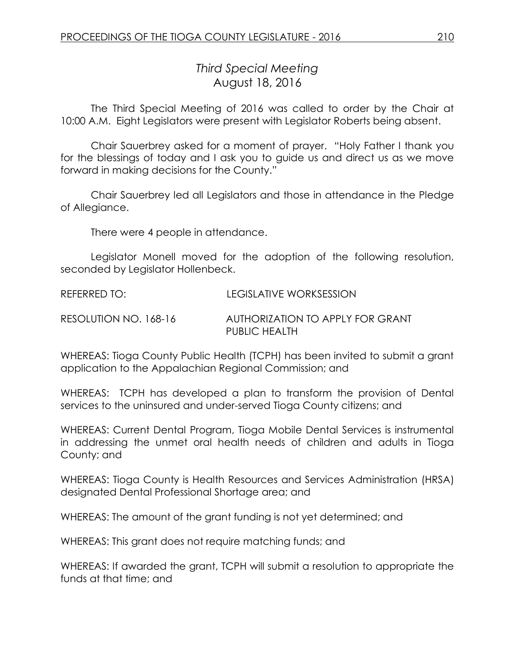## *Third Special Meeting* August 18, 2016

The Third Special Meeting of 2016 was called to order by the Chair at 10:00 A.M. Eight Legislators were present with Legislator Roberts being absent.

Chair Sauerbrey asked for a moment of prayer. "Holy Father I thank you for the blessings of today and I ask you to guide us and direct us as we move forward in making decisions for the County."

Chair Sauerbrey led all Legislators and those in attendance in the Pledge of Allegiance.

There were 4 people in attendance.

Legislator Monell moved for the adoption of the following resolution, seconded by Legislator Hollenbeck.

| REFERRED TO:          | LEGISLATIVE WORKSESSION                           |
|-----------------------|---------------------------------------------------|
| RESOLUTION NO. 168-16 | AUTHORIZATION TO APPLY FOR GRANT<br>PUBLIC HEALTH |

WHEREAS: Tioga County Public Health (TCPH) has been invited to submit a grant application to the Appalachian Regional Commission; and

WHEREAS: TCPH has developed a plan to transform the provision of Dental services to the uninsured and under-served Tioga County citizens; and

WHEREAS: Current Dental Program, Tioga Mobile Dental Services is instrumental in addressing the unmet oral health needs of children and adults in Tioga County; and

WHEREAS: Tioga County is Health Resources and Services Administration (HRSA) designated Dental Professional Shortage area; and

WHEREAS: The amount of the grant funding is not yet determined; and

WHEREAS: This grant does not require matching funds; and

WHEREAS: If awarded the grant, TCPH will submit a resolution to appropriate the funds at that time; and